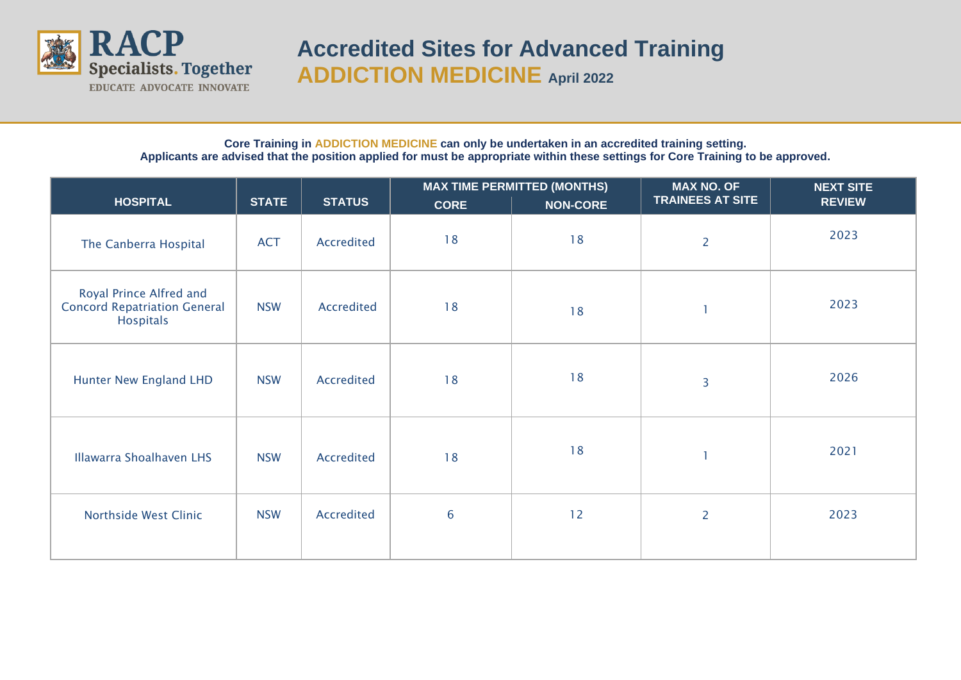

## **Accredited Sites for Advanced Training ADDICTION MEDICINE April <sup>2022</sup>**

## **Core Training in ADDICTION MEDICINE can only be undertaken in an accredited training setting. Applicants are advised that the position applied for must be appropriate within these settings for Core Training to be approved.**

|                                                                                    |              |               | <b>MAX TIME PERMITTED (MONTHS)</b> |                 | <b>MAX NO. OF</b>       | <b>NEXT SITE</b> |
|------------------------------------------------------------------------------------|--------------|---------------|------------------------------------|-----------------|-------------------------|------------------|
| <b>HOSPITAL</b>                                                                    | <b>STATE</b> | <b>STATUS</b> | <b>CORE</b>                        | <b>NON-CORE</b> | <b>TRAINEES AT SITE</b> | <b>REVIEW</b>    |
| The Canberra Hospital                                                              | <b>ACT</b>   | Accredited    | 18                                 | 18              | $\overline{2}$          | 2023             |
| Royal Prince Alfred and<br><b>Concord Repatriation General</b><br><b>Hospitals</b> | <b>NSW</b>   | Accredited    | 18                                 | 18              | 1                       | 2023             |
| <b>Hunter New England LHD</b>                                                      | <b>NSW</b>   | Accredited    | 18                                 | 18              | 3                       | 2026             |
| <b>Illawarra Shoalhaven LHS</b>                                                    | <b>NSW</b>   | Accredited    | 18                                 | 18              | 1                       | 2021             |
| Northside West Clinic                                                              | <b>NSW</b>   | Accredited    | $6\phantom{1}6$                    | 12              | $\overline{2}$          | 2023             |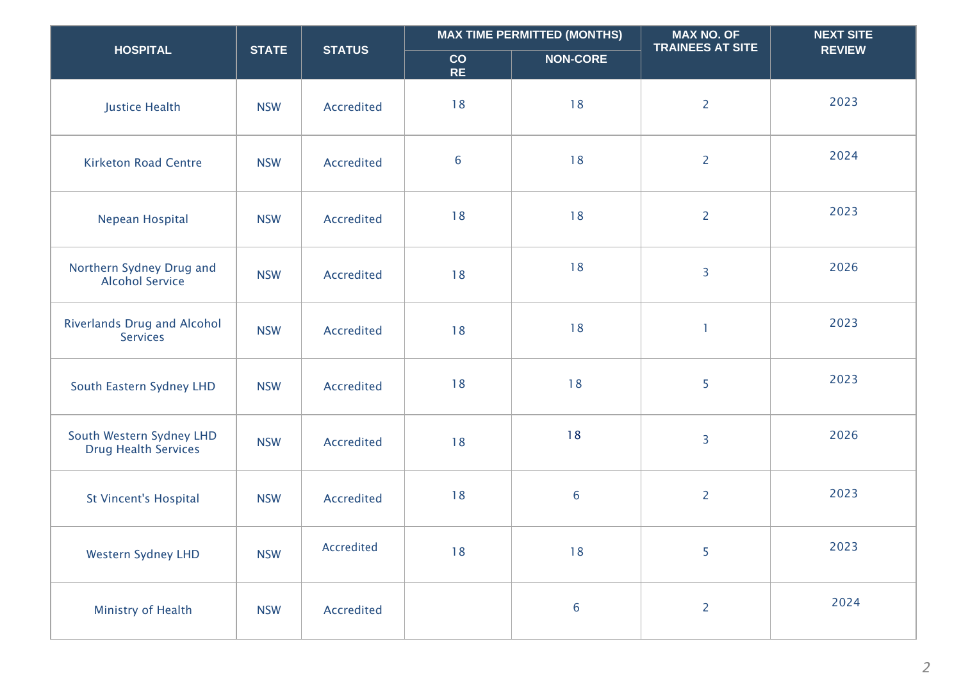|                                                         |              |                   |                 | <b>MAX TIME PERMITTED (MONTHS)</b> | <b>MAX NO. OF</b><br><b>TRAINEES AT SITE</b> | <b>NEXT SITE</b> |
|---------------------------------------------------------|--------------|-------------------|-----------------|------------------------------------|----------------------------------------------|------------------|
| <b>HOSPITAL</b>                                         | <b>STATE</b> | <b>STATUS</b>     | CO<br><b>RE</b> | <b>NON-CORE</b>                    |                                              | <b>REVIEW</b>    |
| <b>Justice Health</b>                                   | <b>NSW</b>   | <b>Accredited</b> | 18              | 18                                 | $\overline{2}$                               | 2023             |
| <b>Kirketon Road Centre</b>                             | <b>NSW</b>   | Accredited        | $6\phantom{a}$  | 18                                 | $\overline{2}$                               | 2024             |
| Nepean Hospital                                         | <b>NSW</b>   | Accredited        | 18              | 18                                 | $\overline{2}$                               | 2023             |
| Northern Sydney Drug and<br><b>Alcohol Service</b>      | <b>NSW</b>   | Accredited        | 18              | 18                                 | $\overline{3}$                               | 2026             |
| <b>Riverlands Drug and Alcohol</b><br><b>Services</b>   | <b>NSW</b>   | Accredited        | 18              | 18                                 | $\mathbf{1}$                                 | 2023             |
| South Eastern Sydney LHD                                | <b>NSW</b>   | Accredited        | 18              | 18                                 | 5                                            | 2023             |
| South Western Sydney LHD<br><b>Drug Health Services</b> | <b>NSW</b>   | Accredited        | 18              | 18                                 | $\overline{3}$                               | 2026             |
| <b>St Vincent's Hospital</b>                            | <b>NSW</b>   | Accredited        | 18              | 6                                  | $\overline{2}$                               | 2023             |
| <b>Western Sydney LHD</b>                               | <b>NSW</b>   | Accredited        | 18              | 18                                 | 5                                            | 2023             |
| Ministry of Health                                      | <b>NSW</b>   | Accredited        |                 | $6\phantom{a}$                     | $\overline{2}$                               | 2024             |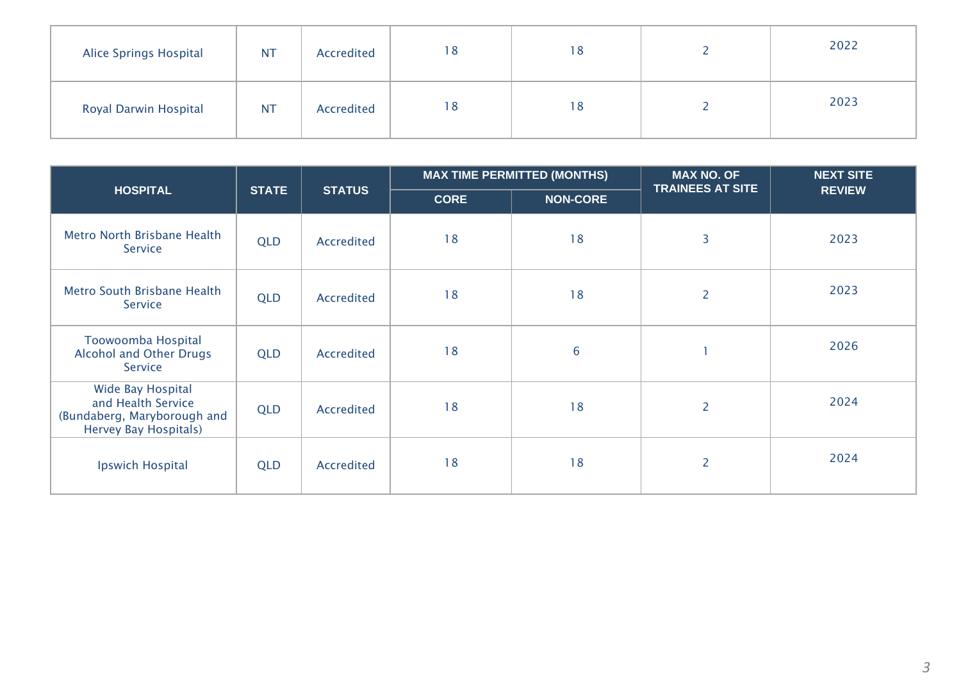| <b>Alice Springs Hospital</b> | <b>NT</b> | Accredited | 18 | 18 | 2022 |
|-------------------------------|-----------|------------|----|----|------|
| <b>Royal Darwin Hospital</b>  | <b>NT</b> | Accredited | 18 | 18 | 2023 |

|                                                                                                 |              |               |             | <b>MAX TIME PERMITTED (MONTHS)</b> | <b>MAX NO. OF</b>       | <b>NEXT SITE</b> |  |
|-------------------------------------------------------------------------------------------------|--------------|---------------|-------------|------------------------------------|-------------------------|------------------|--|
| <b>HOSPITAL</b>                                                                                 | <b>STATE</b> | <b>STATUS</b> | <b>CORE</b> | <b>NON-CORE</b>                    | <b>TRAINEES AT SITE</b> | <b>REVIEW</b>    |  |
| Metro North Brisbane Health<br>Service                                                          | <b>QLD</b>   | Accredited    | 18          | 18                                 | 3                       | 2023             |  |
| Metro South Brisbane Health<br>Service                                                          | <b>QLD</b>   | Accredited    | 18          | 18                                 | $\overline{2}$          | 2023             |  |
| Toowoomba Hospital<br><b>Alcohol and Other Drugs</b><br>Service                                 | <b>QLD</b>   | Accredited    | 18          | $6\phantom{1}6$                    |                         | 2026             |  |
| Wide Bay Hospital<br>and Health Service<br>(Bundaberg, Maryborough and<br>Hervey Bay Hospitals) | <b>QLD</b>   | Accredited    | 18          | 18                                 | $\overline{2}$          | 2024             |  |
| <b>Ipswich Hospital</b>                                                                         | <b>QLD</b>   | Accredited    | 18          | 18                                 | $\overline{2}$          | 2024             |  |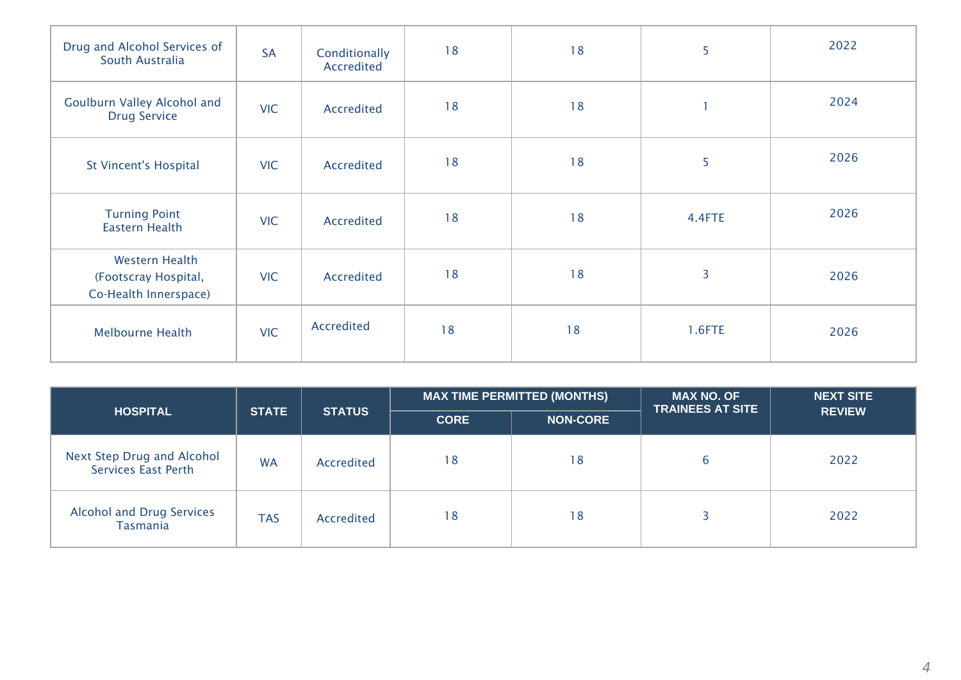| Drug and Alcohol Services of<br>South Australia                        | <b>SA</b>  | Conditionally<br>Accredited | 18 | 18 | 5      | 2022 |
|------------------------------------------------------------------------|------------|-----------------------------|----|----|--------|------|
| Goulburn Valley Alcohol and<br><b>Drug Service</b>                     | <b>VIC</b> | Accredited                  | 18 | 18 | 1      | 2024 |
| <b>St Vincent's Hospital</b>                                           | <b>VIC</b> | Accredited                  | 18 | 18 | 5      | 2026 |
| <b>Turning Point</b><br>Eastern Health                                 | <b>VIC</b> | Accredited                  | 18 | 18 | 4.4FTE | 2026 |
| <b>Western Health</b><br>(Footscray Hospital,<br>Co-Health Innerspace) | <b>VIC</b> | Accredited                  | 18 | 18 | 3      | 2026 |
| <b>Melbourne Health</b>                                                | <b>VIC</b> | Accredited                  | 18 | 18 | 1.6FTE | 2026 |

| <b>HOSPITAL</b>                                          |              |               |             | <b>MAX NO. OF</b><br><b>MAX TIME PERMITTED (MONTHS)</b><br><b>TRAINEES AT SITE</b> | <b>NEXT SITE</b> |               |
|----------------------------------------------------------|--------------|---------------|-------------|------------------------------------------------------------------------------------|------------------|---------------|
|                                                          | <b>STATE</b> | <b>STATUS</b> | <b>CORE</b> | <b>NON-CORE</b>                                                                    |                  | <b>REVIEW</b> |
| <b>Next Step Drug and Alcohol</b><br>Services East Perth | <b>WA</b>    | Accredited    | 18          | 18                                                                                 | b                | 2022          |
| <b>Alcohol and Drug Services</b><br>Tasmania             | <b>TAS</b>   | Accredited    | 18          | 18                                                                                 |                  | 2022          |